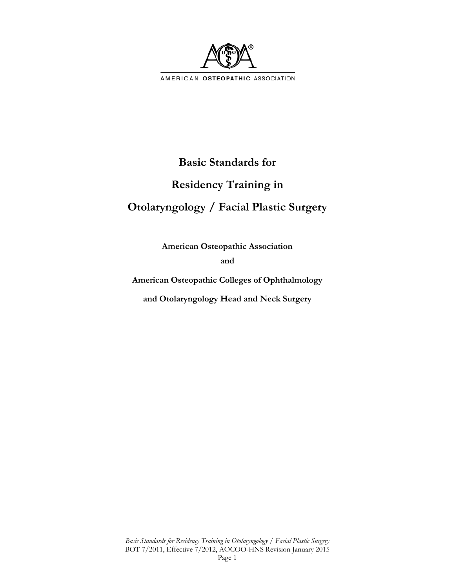

# **Basic Standards for**

# **Residency Training in**

# **Otolaryngology / Facial Plastic Surgery**

**American Osteopathic Association and** 

**American Osteopathic Colleges of Ophthalmology** 

**and Otolaryngology Head and Neck Surgery**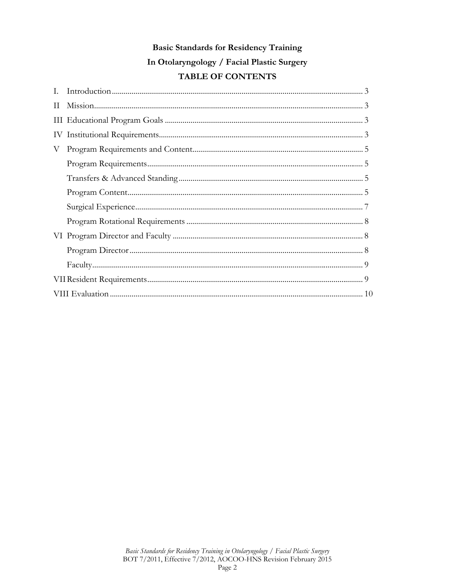# **Basic Standards for Residency Training** In Otolaryngology / Facial Plastic Surgery TABLE OF CONTENTS

| L.           |  |  |
|--------------|--|--|
| $\mathbf{H}$ |  |  |
|              |  |  |
|              |  |  |
| V            |  |  |
|              |  |  |
|              |  |  |
|              |  |  |
|              |  |  |
|              |  |  |
|              |  |  |
|              |  |  |
|              |  |  |
|              |  |  |
|              |  |  |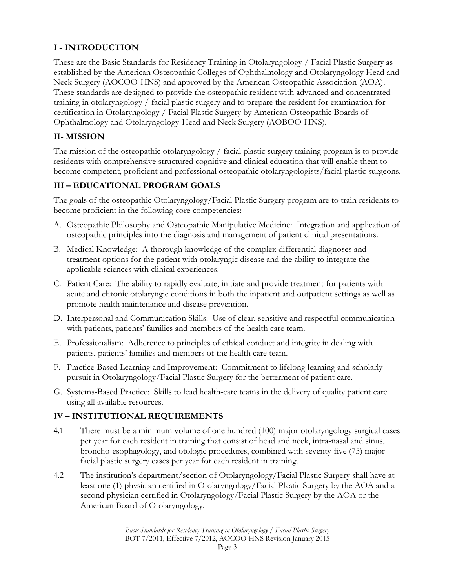# **I - INTRODUCTION**

These are the Basic Standards for Residency Training in Otolaryngology / Facial Plastic Surgery as established by the American Osteopathic Colleges of Ophthalmology and Otolaryngology Head and Neck Surgery (AOCOO-HNS) and approved by the American Osteopathic Association (AOA). These standards are designed to provide the osteopathic resident with advanced and concentrated training in otolaryngology / facial plastic surgery and to prepare the resident for examination for certification in Otolaryngology / Facial Plastic Surgery by American Osteopathic Boards of Ophthalmology and Otolaryngology-Head and Neck Surgery (AOBOO-HNS).

#### **II- MISSION**

The mission of the osteopathic otolaryngology / facial plastic surgery training program is to provide residents with comprehensive structured cognitive and clinical education that will enable them to become competent, proficient and professional osteopathic otolaryngologists/facial plastic surgeons.

## **III – EDUCATIONAL PROGRAM GOALS**

The goals of the osteopathic Otolaryngology/Facial Plastic Surgery program are to train residents to become proficient in the following core competencies:

- A. Osteopathic Philosophy and Osteopathic Manipulative Medicine: Integration and application of osteopathic principles into the diagnosis and management of patient clinical presentations.
- B. Medical Knowledge: A thorough knowledge of the complex differential diagnoses and treatment options for the patient with otolaryngic disease and the ability to integrate the applicable sciences with clinical experiences.
- C. Patient Care: The ability to rapidly evaluate, initiate and provide treatment for patients with acute and chronic otolaryngic conditions in both the inpatient and outpatient settings as well as promote health maintenance and disease prevention.
- D. Interpersonal and Communication Skills: Use of clear, sensitive and respectful communication with patients, patients' families and members of the health care team.
- E. Professionalism: Adherence to principles of ethical conduct and integrity in dealing with patients, patients' families and members of the health care team.
- F. Practice-Based Learning and Improvement: Commitment to lifelong learning and scholarly pursuit in Otolaryngology/Facial Plastic Surgery for the betterment of patient care.
- G. Systems-Based Practice: Skills to lead health-care teams in the delivery of quality patient care using all available resources.

#### **IV – INSTITUTIONAL REQUIREMENTS**

- 4.1 There must be a minimum volume of one hundred (100) major otolaryngology surgical cases per year for each resident in training that consist of head and neck, intra-nasal and sinus, broncho-esophagology, and otologic procedures, combined with seventy-five (75) major facial plastic surgery cases per year for each resident in training.
- 4.2 The institution's department/section of Otolaryngology/Facial Plastic Surgery shall have at least one (1) physician certified in Otolaryngology/Facial Plastic Surgery by the AOA and a second physician certified in Otolaryngology/Facial Plastic Surgery by the AOA or the American Board of Otolaryngology.

*Basic Standards for Residency Training in Otolaryngology / Facial Plastic Surgery*  BOT 7/2011, Effective 7/2012, AOCOO-HNS Revision January 2015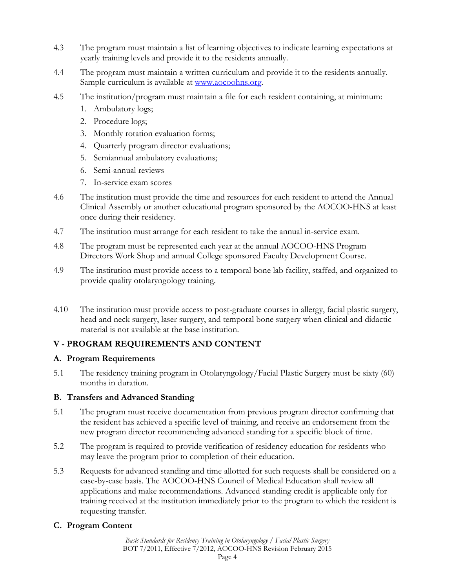- 4.3 The program must maintain a list of learning objectives to indicate learning expectations at yearly training levels and provide it to the residents annually.
- 4.4 The program must maintain a written curriculum and provide it to the residents annually. Sample curriculum is available at www.aocoohns.org.
- 4.5 The institution/program must maintain a file for each resident containing, at minimum:
	- 1. Ambulatory logs;
	- 2. Procedure logs;
	- 3. Monthly rotation evaluation forms;
	- 4. Quarterly program director evaluations;
	- 5. Semiannual ambulatory evaluations;
	- 6. Semi-annual reviews
	- 7. In-service exam scores
- 4.6 The institution must provide the time and resources for each resident to attend the Annual Clinical Assembly or another educational program sponsored by the AOCOO-HNS at least once during their residency.
- 4.7 The institution must arrange for each resident to take the annual in-service exam.
- 4.8 The program must be represented each year at the annual AOCOO-HNS Program Directors Work Shop and annual College sponsored Faculty Development Course.
- 4.9 The institution must provide access to a temporal bone lab facility, staffed, and organized to provide quality otolaryngology training.
- 4.10 The institution must provide access to post-graduate courses in allergy, facial plastic surgery, head and neck surgery, laser surgery, and temporal bone surgery when clinical and didactic material is not available at the base institution.

#### **V - PROGRAM REQUIREMENTS AND CONTENT**

#### **A. Program Requirements**

5.1 The residency training program in Otolaryngology/Facial Plastic Surgery must be sixty (60) months in duration.

#### **B. Transfers and Advanced Standing**

- 5.1 The program must receive documentation from previous program director confirming that the resident has achieved a specific level of training, and receive an endorsement from the new program director recommending advanced standing for a specific block of time.
- 5.2 The program is required to provide verification of residency education for residents who may leave the program prior to completion of their education.
- 5.3 Requests for advanced standing and time allotted for such requests shall be considered on a case-by-case basis. The AOCOO-HNS Council of Medical Education shall review all applications and make recommendations. Advanced standing credit is applicable only for training received at the institution immediately prior to the program to which the resident is requesting transfer.

#### **C. Program Content**

*Basic Standards for Residency Training in Otolaryngology / Facial Plastic Surgery*  BOT 7/2011, Effective 7/2012, AOCOO-HNS Revision February 2015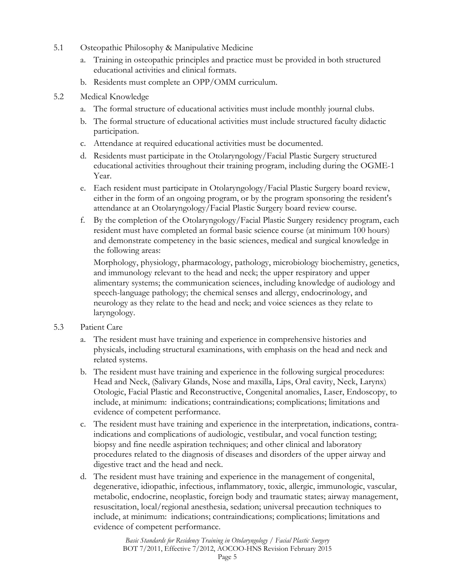- 5.1 Osteopathic Philosophy & Manipulative Medicine
	- a. Training in osteopathic principles and practice must be provided in both structured educational activities and clinical formats.
	- b. Residents must complete an OPP/OMM curriculum.
- 5.2 Medical Knowledge
	- a. The formal structure of educational activities must include monthly journal clubs.
	- b. The formal structure of educational activities must include structured faculty didactic participation.
	- c. Attendance at required educational activities must be documented.
	- d. Residents must participate in the Otolaryngology/Facial Plastic Surgery structured educational activities throughout their training program, including during the OGME-1 Year.
	- e. Each resident must participate in Otolaryngology/Facial Plastic Surgery board review, either in the form of an ongoing program, or by the program sponsoring the resident's attendance at an Otolaryngology/Facial Plastic Surgery board review course.
	- f. By the completion of the Otolaryngology/Facial Plastic Surgery residency program, each resident must have completed an formal basic science course (at minimum 100 hours) and demonstrate competency in the basic sciences, medical and surgical knowledge in the following areas:

Morphology, physiology, pharmacology, pathology, microbiology biochemistry, genetics, and immunology relevant to the head and neck; the upper respiratory and upper alimentary systems; the communication sciences, including knowledge of audiology and speech-language pathology; the chemical senses and allergy, endocrinology, and neurology as they relate to the head and neck; and voice sciences as they relate to laryngology.

#### 5.3 Patient Care

- a. The resident must have training and experience in comprehensive histories and physicals, including structural examinations, with emphasis on the head and neck and related systems.
- b. The resident must have training and experience in the following surgical procedures: Head and Neck, (Salivary Glands, Nose and maxilla, Lips, Oral cavity, Neck, Larynx) Otologic, Facial Plastic and Reconstructive, Congenital anomalies, Laser, Endoscopy, to include, at minimum: indications; contraindications; complications; limitations and evidence of competent performance.
- c. The resident must have training and experience in the interpretation, indications, contraindications and complications of audiologic, vestibular, and vocal function testing; biopsy and fine needle aspiration techniques; and other clinical and laboratory procedures related to the diagnosis of diseases and disorders of the upper airway and digestive tract and the head and neck.
- d. The resident must have training and experience in the management of congenital, degenerative, idiopathic, infectious, inflammatory, toxic, allergic, immunologic, vascular, metabolic, endocrine, neoplastic, foreign body and traumatic states; airway management, resuscitation, local/regional anesthesia, sedation; universal precaution techniques to include, at minimum: indications; contraindications; complications; limitations and evidence of competent performance.

*Basic Standards for Residency Training in Otolaryngology / Facial Plastic Surgery*  BOT 7/2011, Effective 7/2012, AOCOO-HNS Revision February 2015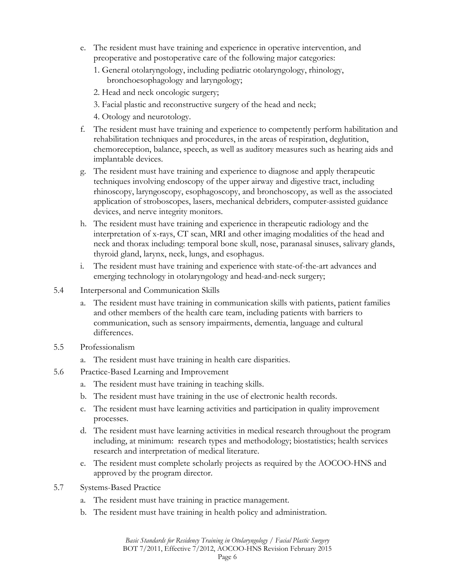- e. The resident must have training and experience in operative intervention, and preoperative and postoperative care of the following major categories:
	- 1. General otolaryngology, including pediatric otolaryngology, rhinology, bronchoesophagology and laryngology;
	- 2. Head and neck oncologic surgery;
	- 3. Facial plastic and reconstructive surgery of the head and neck;
	- 4. Otology and neurotology.
- f. The resident must have training and experience to competently perform habilitation and rehabilitation techniques and procedures, in the areas of respiration, deglutition, chemoreception, balance, speech, as well as auditory measures such as hearing aids and implantable devices.
- g. The resident must have training and experience to diagnose and apply therapeutic techniques involving endoscopy of the upper airway and digestive tract, including rhinoscopy, laryngoscopy, esophagoscopy, and bronchoscopy, as well as the associated application of stroboscopes, lasers, mechanical debriders, computer-assisted guidance devices, and nerve integrity monitors.
- h. The resident must have training and experience in therapeutic radiology and the interpretation of x-rays, CT scan, MRI and other imaging modalities of the head and neck and thorax including: temporal bone skull, nose, paranasal sinuses, salivary glands, thyroid gland, larynx, neck, lungs, and esophagus.
- i. The resident must have training and experience with state-of-the-art advances and emerging technology in otolaryngology and head-and-neck surgery;
- 5.4 Interpersonal and Communication Skills
	- a. The resident must have training in communication skills with patients, patient families and other members of the health care team, including patients with barriers to communication, such as sensory impairments, dementia, language and cultural differences.
- 5.5 Professionalism
	- a. The resident must have training in health care disparities.
- 5.6 Practice-Based Learning and Improvement
	- a. The resident must have training in teaching skills.
	- b. The resident must have training in the use of electronic health records.
	- c. The resident must have learning activities and participation in quality improvement processes.
	- d. The resident must have learning activities in medical research throughout the program including, at minimum: research types and methodology; biostatistics; health services research and interpretation of medical literature.
	- e. The resident must complete scholarly projects as required by the AOCOO-HNS and approved by the program director.
- 5.7 Systems-Based Practice
	- a. The resident must have training in practice management.
	- b. The resident must have training in health policy and administration.

*Basic Standards for Residency Training in Otolaryngology / Facial Plastic Surgery*  BOT 7/2011, Effective 7/2012, AOCOO-HNS Revision February 2015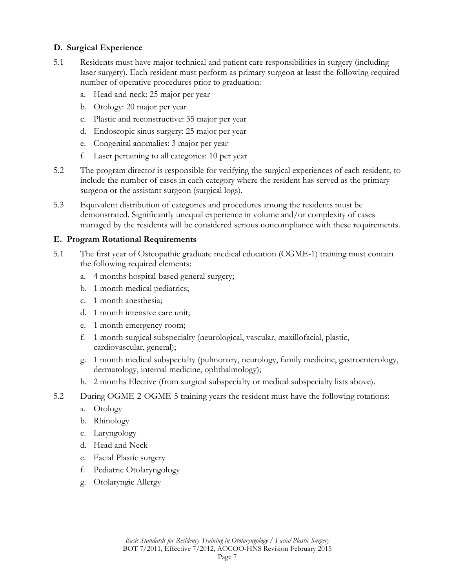#### **D. Surgical Experience**

- 5.1 Residents must have major technical and patient care responsibilities in surgery (including laser surgery). Each resident must perform as primary surgeon at least the following required number of operative procedures prior to graduation:
	- a. Head and neck: 25 major per year
	- b. Otology: 20 major per year
	- c. Plastic and reconstructive: 35 major per year
	- d. Endoscopic sinus surgery: 25 major per year
	- e. Congenital anomalies: 3 major per year
	- f. Laser pertaining to all categories: 10 per year
- 5.2 The program director is responsible for verifying the surgical experiences of each resident, to include the number of cases in each category where the resident has served as the primary surgeon or the assistant surgeon (surgical logs).
- 5.3 Equivalent distribution of categories and procedures among the residents must be demonstrated. Significantly unequal experience in volume and/or complexity of cases managed by the residents will be considered serious noncompliance with these requirements.

#### **E. Program Rotational Requirements**

- 5.1 The first year of Osteopathic graduate medical education (OGME-1) training must contain the following required elements:
	- a. 4 months hospital-based general surgery;
	- b. 1 month medical pediatrics;
	- c. 1 month anesthesia;
	- d. 1 month intensive care unit;
	- e. 1 month emergency room;
	- f. 1 month surgical subspecialty (neurological, vascular, maxillofacial, plastic, cardiovascular, general);
	- g. 1 month medical subspecialty (pulmonary, neurology, family medicine, gastroenterology, dermatology, internal medicine, ophthalmology);
	- h. 2 months Elective (from surgical subspecialty or medical subspecialty lists above).
- 5.2 During OGME-2-OGME-5 training years the resident must have the following rotations:
	- a. Otology
	- b. Rhinology
	- c. Laryngology
	- d. Head and Neck
	- e. Facial Plastic surgery
	- f. Pediatric Otolaryngology
	- g. Otolaryngic Allergy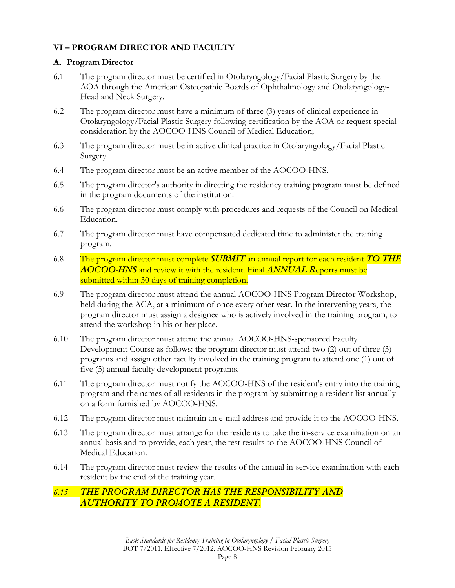#### **VI – PROGRAM DIRECTOR AND FACULTY**

#### **A. Program Director**

- 6.1 The program director must be certified in Otolaryngology/Facial Plastic Surgery by the AOA through the American Osteopathic Boards of Ophthalmology and Otolaryngology-Head and Neck Surgery.
- 6.2 The program director must have a minimum of three (3) years of clinical experience in Otolaryngology/Facial Plastic Surgery following certification by the AOA or request special consideration by the AOCOO-HNS Council of Medical Education;
- 6.3 The program director must be in active clinical practice in Otolaryngology/Facial Plastic Surgery.
- 6.4 The program director must be an active member of the AOCOO-HNS.
- 6.5 The program director's authority in directing the residency training program must be defined in the program documents of the institution.
- 6.6 The program director must comply with procedures and requests of the Council on Medical Education.
- 6.7 The program director must have compensated dedicated time to administer the training program.
- 6.8 The program director must complete *SUBMIT* an annual report for each resident *TO THE AOCOO-HNS* and review it with the resident. Final *ANNUAL R*eports must be submitted within 30 days of training completion.
- 6.9 The program director must attend the annual AOCOO-HNS Program Director Workshop, held during the ACA, at a minimum of once every other year. In the intervening years, the program director must assign a designee who is actively involved in the training program, to attend the workshop in his or her place.
- 6.10 The program director must attend the annual AOCOO-HNS-sponsored Faculty Development Course as follows: the program director must attend two (2) out of three (3) programs and assign other faculty involved in the training program to attend one (1) out of five (5) annual faculty development programs.
- 6.11 The program director must notify the AOCOO-HNS of the resident's entry into the training program and the names of all residents in the program by submitting a resident list annually on a form furnished by AOCOO-HNS.
- 6.12 The program director must maintain an e-mail address and provide it to the AOCOO-HNS.
- 6.13 The program director must arrange for the residents to take the in-service examination on an annual basis and to provide, each year, the test results to the AOCOO-HNS Council of Medical Education.
- 6.14 The program director must review the results of the annual in-service examination with each resident by the end of the training year.

## *6.15 THE PROGRAM DIRECTOR HAS THE RESPONSIBILITY AND AUTHORITY TO PROMOTE A RESIDENT.*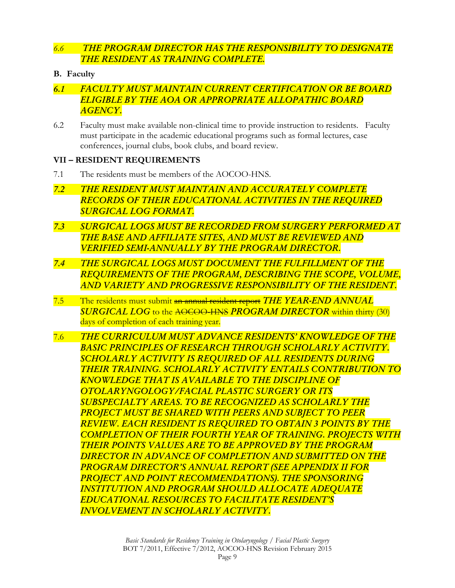## *6.6 THE PROGRAM DIRECTOR HAS THE RESPONSIBILITY TO DESIGNATE THE RESIDENT AS TRAINING COMPLETE.*

- **B. Faculty**
- *6.1 FACULTY MUST MAINTAIN CURRENT CERTIFICATION OR BE BOARD ELIGIBLE BY THE AOA OR APPROPRIATE ALLOPATHIC BOARD AGENCY.*
- 6.2 Faculty must make available non-clinical time to provide instruction to residents. Faculty must participate in the academic educational programs such as formal lectures, case conferences, journal clubs, book clubs, and board review.

#### **VII – RESIDENT REQUIREMENTS**

- 7.1 The residents must be members of the AOCOO-HNS.
- *7.2 THE RESIDENT MUST MAINTAIN AND ACCURATELY COMPLETE RECORDS OF THEIR EDUCATIONAL ACTIVITIES IN THE REQUIRED SURGICAL LOG FORMAT.*
- *7.3 SURGICAL LOGS MUST BE RECORDED FROM SURGERY PERFORMED AT THE BASE AND AFFILIATE SITES, AND MUST BE REVIEWED AND VERIFIED SEMI-ANNUALLY BY THE PROGRAM DIRECTOR.*
- *7.4 THE SURGICAL LOGS MUST DOCUMENT THE FULFILLMENT OF THE REQUIREMENTS OF THE PROGRAM, DESCRIBING THE SCOPE, VOLUME, AND VARIETY AND PROGRESSIVE RESPONSIBILITY OF THE RESIDENT.*
- 7.5 The residents must submit an annual resident report *THE YEAR-END ANNUAL SURGICAL LOG* to the AOCOO-HNS *PROGRAM DIRECTOR* within thirty (30) days of completion of each training year.
- 7.6 *THE CURRICULUM MUST ADVANCE RESIDENTS' KNOWLEDGE OF THE BASIC PRINCIPLES OF RESEARCH THROUGH SCHOLARLY ACTIVITY. SCHOLARLY ACTIVITY IS REQUIRED OF ALL RESIDENTS DURING THEIR TRAINING. SCHOLARLY ACTIVITY ENTAILS CONTRIBUTION TO KNOWLEDGE THAT IS AVAILABLE TO THE DISCIPLINE OF OTOLARYNGOLOGY/FACIAL PLASTIC SURGERY OR ITS SUBSPECIALTY AREAS. TO BE RECOGNIZED AS SCHOLARLY THE PROJECT MUST BE SHARED WITH PEERS AND SUBJECT TO PEER REVIEW. EACH RESIDENT IS REQUIRED TO OBTAIN 3 POINTS BY THE COMPLETION OF THEIR FOURTH YEAR OF TRAINING. PROJECTS WITH THEIR POINTS VALUES ARE TO BE APPROVED BY THE PROGRAM DIRECTOR IN ADVANCE OF COMPLETION AND SUBMITTED ON THE PROGRAM DIRECTOR'S ANNUAL REPORT (SEE APPENDIX II FOR PROJECT AND POINT RECOMMENDATIONS). THE SPONSORING INSTITUTION AND PROGRAM SHOULD ALLOCATE ADEQUATE EDUCATIONAL RESOURCES TO FACILITATE RESIDENT'S INVOLVEMENT IN SCHOLARLY ACTIVITY.*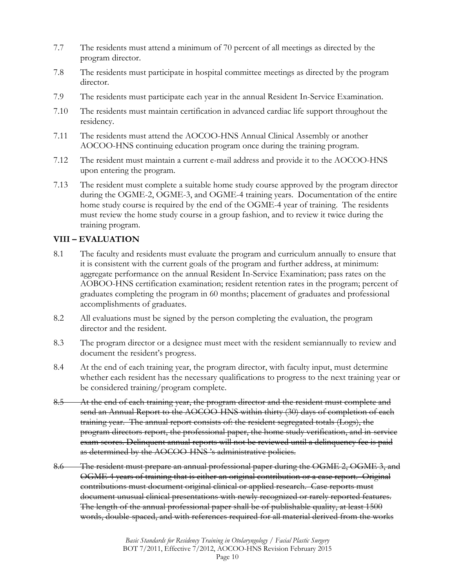- 7.7 The residents must attend a minimum of 70 percent of all meetings as directed by the program director.
- 7.8 The residents must participate in hospital committee meetings as directed by the program director.
- 7.9 The residents must participate each year in the annual Resident In-Service Examination.
- 7.10 The residents must maintain certification in advanced cardiac life support throughout the residency.
- 7.11 The residents must attend the AOCOO-HNS Annual Clinical Assembly or another AOCOO-HNS continuing education program once during the training program.
- 7.12 The resident must maintain a current e-mail address and provide it to the AOCOO-HNS upon entering the program.
- 7.13 The resident must complete a suitable home study course approved by the program director during the OGME-2, OGME-3, and OGME-4 training years. Documentation of the entire home study course is required by the end of the OGME-4 year of training. The residents must review the home study course in a group fashion, and to review it twice during the training program.

#### **VIII – EVALUATION**

- 8.1 The faculty and residents must evaluate the program and curriculum annually to ensure that it is consistent with the current goals of the program and further address, at minimum: aggregate performance on the annual Resident In-Service Examination; pass rates on the AOBOO-HNS certification examination; resident retention rates in the program; percent of graduates completing the program in 60 months; placement of graduates and professional accomplishments of graduates.
- 8.2 All evaluations must be signed by the person completing the evaluation, the program director and the resident.
- 8.3 The program director or a designee must meet with the resident semiannually to review and document the resident's progress.
- 8.4 At the end of each training year, the program director, with faculty input, must determine whether each resident has the necessary qualifications to progress to the next training year or be considered training/program complete.
- 8.5 At the end of each training year, the program director and the resident must complete and send an Annual Report to the AOCOO-HNS within thirty (30) days of completion of each training year. The annual report consists of: the resident segregated totals (Logs), the program directors report, the professional paper, the home study verification, and in-service exam scores. Delinquent annual reports will not be reviewed until a delinquency fee is paid as determined by the AOCOO-HNS 's administrative policies.
- 8.6 The resident must prepare an annual professional paper during the OGME 2, OGME 3, and OGME 4 years of training that is either an original contribution or a case report. Original contributions must document original clinical or applied research. Case reports must document unusual clinical presentations with newly recognized or rarely reported features. The length of the annual professional paper shall be of publishable quality, at least 1500 words, double-spaced, and with references required for all material derived from the works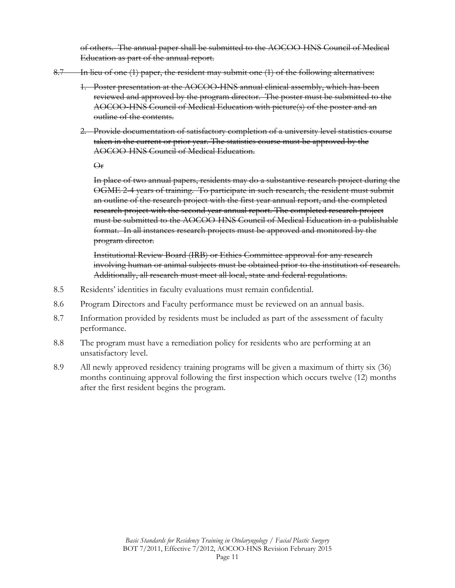of others. The annual paper shall be submitted to the AOCOO-HNS Council of Medical Education as part of the annual report.

- 8.7 In lieu of one (1) paper, the resident may submit one (1) of the following alternatives:
	- 1. Poster presentation at the AOCOO-HNS annual clinical assembly, which has been reviewed and approved by the program director. The poster must be submitted to the AOCOO-HNS Council of Medical Education with picture(s) of the poster and an outline of the contents.
	- 2. Provide documentation of satisfactory completion of a university level statistics course taken in the current or prior year. The statistics course must be approved by the AOCOO-HNS Council of Medical Education.

Or

In place of two annual papers, residents may do a substantive research project during the OGME 2-4 years of training. To participate in such research, the resident must submit an outline of the research project with the first year annual report, and the completed research project with the second year annual report. The completed research project must be submitted to the AOCOO-HNS Council of Medical Education in a publishable format. In all instances research projects must be approved and monitored by the program director.

Institutional Review Board (IRB) or Ethics Committee approval for any research involving human or animal subjects must be obtained prior to the institution of research. Additionally, all research must meet all local, state and federal regulations.

- 8.5 Residents' identities in faculty evaluations must remain confidential.
- 8.6 Program Directors and Faculty performance must be reviewed on an annual basis.
- 8.7 Information provided by residents must be included as part of the assessment of faculty performance.
- 8.8 The program must have a remediation policy for residents who are performing at an unsatisfactory level.
- 8.9 All newly approved residency training programs will be given a maximum of thirty six (36) months continuing approval following the first inspection which occurs twelve (12) months after the first resident begins the program.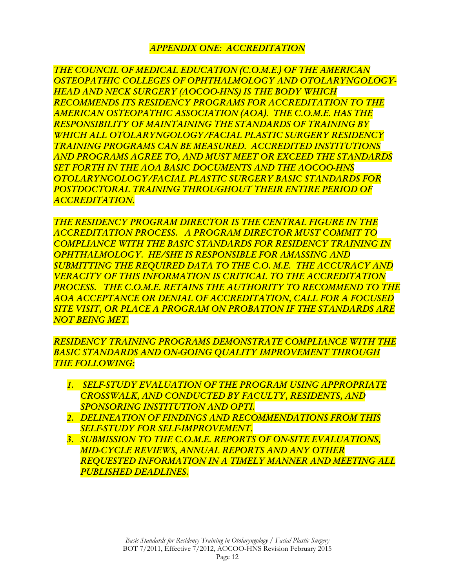# *APPENDIX ONE: ACCREDITATION*

*THE COUNCIL OF MEDICAL EDUCATION (C.O.M.E.) OF THE AMERICAN OSTEOPATHIC COLLEGES OF OPHTHALMOLOGY AND OTOLARYNGOLOGY-HEAD AND NECK SURGERY (AOCOO-HNS) IS THE BODY WHICH RECOMMENDS ITS RESIDENCY PROGRAMS FOR ACCREDITATION TO THE AMERICAN OSTEOPATHIC ASSOCIATION (AOA). THE C.O.M.E. HAS THE RESPONSIBILITY OF MAINTAINING THE STANDARDS OF TRAINING BY WHICH ALL OTOLARYNGOLOGY/FACIAL PLASTIC SURGERY RESIDENCY TRAINING PROGRAMS CAN BE MEASURED. ACCREDITED INSTITUTIONS AND PROGRAMS AGREE TO, AND MUST MEET OR EXCEED THE STANDARDS SET FORTH IN THE AOA BASIC DOCUMENTS AND THE AOCOO-HNS OTOLARYNGOLOGY/FACIAL PLASTIC SURGERY BASIC STANDARDS FOR POSTDOCTORAL TRAINING THROUGHOUT THEIR ENTIRE PERIOD OF ACCREDITATION.* 

*THE RESIDENCY PROGRAM DIRECTOR IS THE CENTRAL FIGURE IN THE ACCREDITATION PROCESS. A PROGRAM DIRECTOR MUST COMMIT TO COMPLIANCE WITH THE BASIC STANDARDS FOR RESIDENCY TRAINING IN OPHTHALMOLOGY. HE/SHE IS RESPONSIBLE FOR AMASSING AND SUBMITTING THE REQUIRED DATA TO THE C.O. M.E. THE ACCURACY AND VERACITY OF THIS INFORMATION IS CRITICAL TO THE ACCREDITATION PROCESS. THE C.O.M.E. RETAINS THE AUTHORITY TO RECOMMEND TO THE AOA ACCEPTANCE OR DENIAL OF ACCREDITATION, CALL FOR A FOCUSED SITE VISIT, OR PLACE A PROGRAM ON PROBATION IF THE STANDARDS ARE NOT BEING MET.* 

*RESIDENCY TRAINING PROGRAMS DEMONSTRATE COMPLIANCE WITH THE BASIC STANDARDS AND ON-GOING QUALITY IMPROVEMENT THROUGH THE FOLLOWING:* 

- *1. SELF-STUDY EVALUATION OF THE PROGRAM USING APPROPRIATE CROSSWALK, AND CONDUCTED BY FACULTY, RESIDENTS, AND SPONSORING INSTITUTION AND OPTI.*
- *2. DELINEATION OF FINDINGS AND RECOMMENDATIONS FROM THIS SELF-STUDY FOR SELF-IMPROVEMENT.*
- *3. SUBMISSION TO THE C.O.M.E. REPORTS OF ON-SITE EVALUATIONS, MID-CYCLE REVIEWS, ANNUAL REPORTS AND ANY OTHER REQUESTED INFORMATION IN A TIMELY MANNER AND MEETING ALL PUBLISHED DEADLINES.*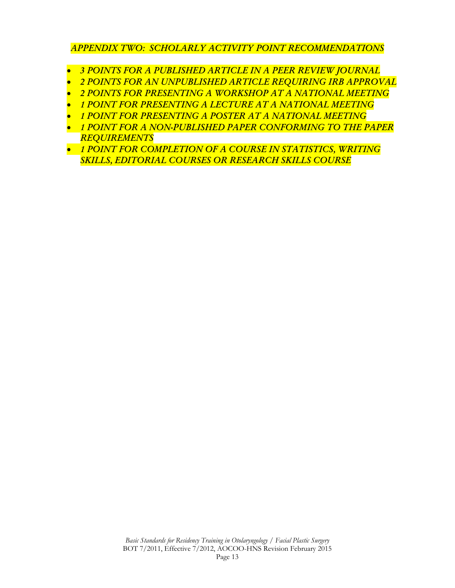# *APPENDIX TWO: SCHOLARLY ACTIVITY POINT RECOMMENDATIONS*

- *3 POINTS FOR A PUBLISHED ARTICLE IN A PEER REVIEW JOURNAL*
- *2 POINTS FOR AN UNPUBLISHED ARTICLE REQUIRING IRB APPROVAL*
- *2 POINTS FOR PRESENTING A WORKSHOP AT A NATIONAL MEETING*
- *1 POINT FOR PRESENTING A LECTURE AT A NATIONAL MEETING*
- *1 POINT FOR PRESENTING A POSTER AT A NATIONAL MEETING*
- *1 POINT FOR A NON-PUBLISHED PAPER CONFORMING TO THE PAPER REQUIREMENTS*
- *1 POINT FOR COMPLETION OF A COURSE IN STATISTICS, WRITING SKILLS, EDITORIAL COURSES OR RESEARCH SKILLS COURSE*